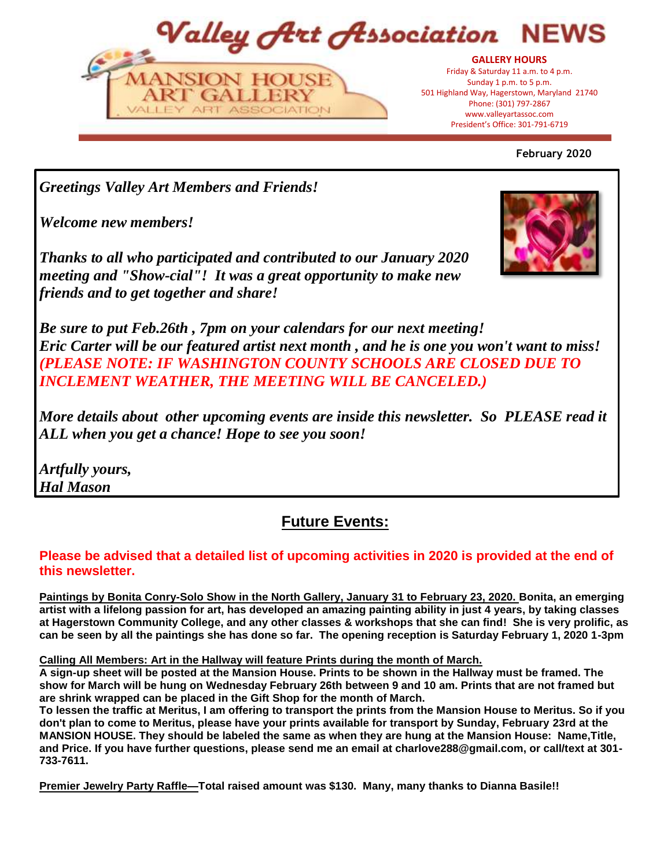Valley Art Association NFW **GALLERY HOURS**



President's Office: 301-797-6719 President's Office: 301-791-6719Friday & Saturday 11 a.m. to 4 p.m. Sunday 1 p.m. to 5 p.m. 501 Highland Way, Hagerstown, Maryland 21740 Phone: (301) 797-2867 www.valleyartassoc.com

**February 2020**

*Greetings Valley Art Members and Friends!*

 $A1E$ 

*Welcome new members!*

*Thanks to all who participated and contributed to our January 2020 meeting and "Show-cial"! It was a great opportunity to make new friends and to get together and share!* 



*Be sure to put Feb.26th , 7pm on your calendars for our next meeting! Eric Carter will be our featured artist next month , and he is one you won't want to miss! (PLEASE NOTE: IF WASHINGTON COUNTY SCHOOLS ARE CLOSED DUE TO INCLEMENT WEATHER, THE MEETING WILL BE CANCELED.)*

*More details about other upcoming events are inside this newsletter. So PLEASE read it ALL when you get a chance! Hope to see you soon!*

*Artfully yours, Hal Mason*

# **Future Events:**

## **Please be advised that a detailed list of upcoming activities in 2020 is provided at the end of this newsletter.**

**Paintings by Bonita Conry-Solo Show in the North Gallery, January 31 to February 23, 2020. Bonita, an emerging artist with a lifelong passion for art, has developed an amazing painting ability in just 4 years, by taking classes at Hagerstown Community College, and any other classes & workshops that she can find! She is very prolific, as can be seen by all the paintings she has done so far. The opening reception is Saturday February 1, 2020 1-3pm**

### **Calling All Members: Art in the Hallway will feature Prints during the month of March.**

**A sign-up sheet will be posted at the Mansion House. Prints to be shown in the Hallway must be framed. The show for March will be hung on Wednesday February 26th between 9 and 10 am. Prints that are not framed but are shrink wrapped can be placed in the Gift Shop for the month of March.**

**To lessen the traffic at Meritus, I am offering to transport the prints from the Mansion House to Meritus. So if you don't plan to come to Meritus, please have your prints available for transport by Sunday, February 23rd at the MANSION HOUSE. They should be labeled the same as when they are hung at the Mansion House: Name,Title, and Price. If you have further questions, please send me an email at charlove288@gmail.com, or call/text at 301- 733-7611.**

**Premier Jewelry Party Raffle—Total raised amount was \$130. Many, many thanks to Dianna Basile!!**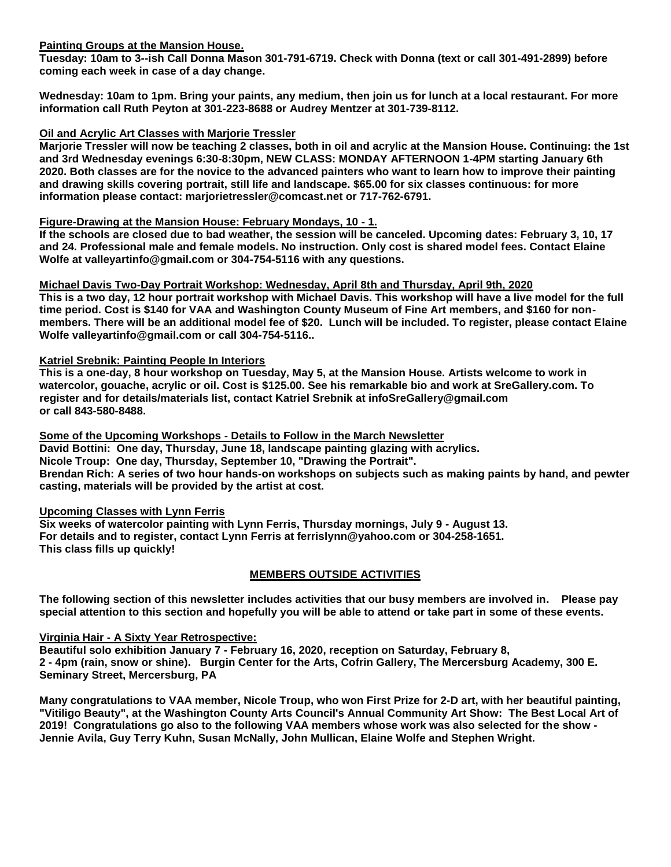#### **Painting Groups at the Mansion House.**

**Tuesday: 10am to 3--ish Call Donna Mason 301-791-6719. Check with Donna (text or call 301-491-2899) before coming each week in case of a day change.**

**Wednesday: 10am to 1pm. Bring your paints, any medium, then join us for lunch at a local restaurant. For more information call Ruth Peyton at 301-223-8688 or Audrey Mentzer at 301-739-8112.**

#### **Oil and Acrylic Art Classes with Marjorie Tressler**

**Marjorie Tressler will now be teaching 2 classes, both in oil and acrylic at the Mansion House. Continuing: the 1st and 3rd Wednesday evenings 6:30-8:30pm, NEW CLASS: MONDAY AFTERNOON 1-4PM starting January 6th 2020. Both classes are for the novice to the advanced painters who want to learn how to improve their painting and drawing skills covering portrait, still life and landscape. \$65.00 for six classes continuous: for more information please contact: marjorietressler@comcast.net or 717-762-6791.**

#### **Figure-Drawing at the Mansion House: February Mondays, 10 - 1.**

**If the schools are closed due to bad weather, the session will be canceled. Upcoming dates: February 3, 10, 17 and 24. Professional male and female models. No instruction. Only cost is shared model fees. Contact Elaine Wolfe at valleyartinfo@gmail.com or 304-754-5116 with any questions.**

#### **Michael Davis Two-Day Portrait Workshop: Wednesday, April 8th and Thursday, April 9th, 2020**

**This is a two day, 12 hour portrait workshop with Michael Davis. This workshop will have a live model for the full time period. Cost is \$140 for VAA and Washington County Museum of Fine Art members, and \$160 for nonmembers. There will be an additional model fee of \$20. Lunch will be included. To register, please contact Elaine Wolfe valleyartinfo@gmail.com or call 304-754-5116..** 

#### **Katriel Srebnik: Painting People In Interiors**

**This is a one-day, 8 hour workshop on Tuesday, May 5, at the Mansion House. Artists welcome to work in watercolor, gouache, acrylic or oil. Cost is \$125.00. See his remarkable bio and work at SreGallery.com. To register and for details/materials list, contact Katriel Srebnik at infoSreGallery@gmail.com or call 843-580-8488.**

**Some of the Upcoming Workshops - Details to Follow in the March Newsletter David Bottini: One day, Thursday, June 18, landscape painting glazing with acrylics. Nicole Troup: One day, Thursday, September 10, "Drawing the Portrait". Brendan Rich: A series of two hour hands-on workshops on subjects such as making paints by hand, and pewter casting, materials will be provided by the artist at cost.** 

#### **Upcoming Classes with Lynn Ferris**

**Six weeks of watercolor painting with Lynn Ferris, Thursday mornings, July 9 - August 13. For details and to register, contact Lynn Ferris at ferrislynn@yahoo.com or 304-258-1651. This class fills up quickly!**

#### **MEMBERS OUTSIDE ACTIVITIES**

**The following section of this newsletter includes activities that our busy members are involved in. Please pay special attention to this section and hopefully you will be able to attend or take part in some of these events.**

#### **Virginia Hair - A Sixty Year Retrospective:**

**Beautiful solo exhibition January 7 - February 16, 2020, reception on Saturday, February 8, 2 - 4pm (rain, snow or shine). Burgin Center for the Arts, Cofrin Gallery, The Mercersburg Academy, 300 E. Seminary Street, Mercersburg, PA**

**Many congratulations to VAA member, Nicole Troup, who won First Prize for 2-D art, with her beautiful painting, "Vitiligo Beauty", at the Washington County Arts Council's Annual Community Art Show: The Best Local Art of 2019! Congratulations go also to the following VAA members whose work was also selected for the show - Jennie Avila, Guy Terry Kuhn, Susan McNally, John Mullican, Elaine Wolfe and Stephen Wright.**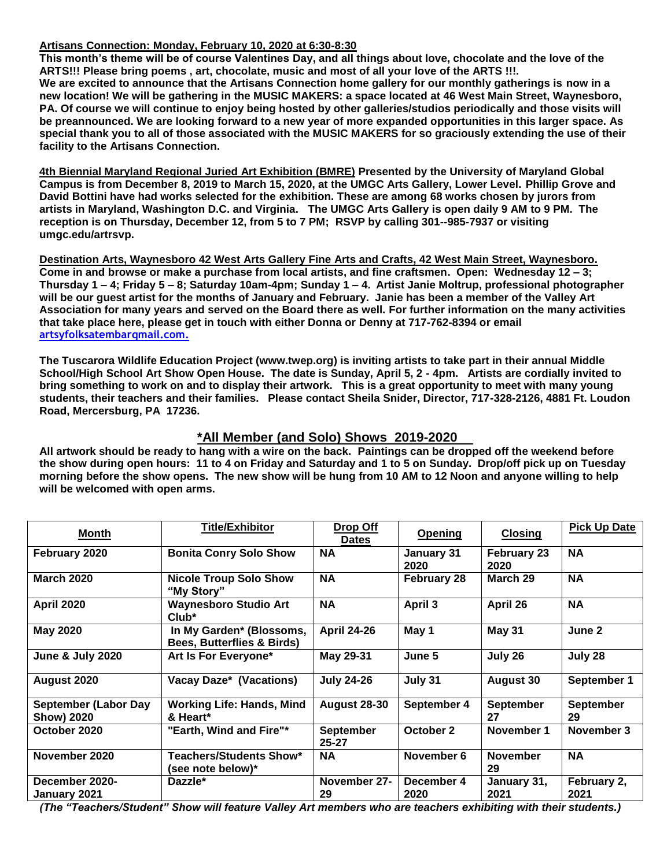#### **Artisans Connection: Monday, February 10, 2020 at 6:30-8:30**

**This month's theme will be of course Valentines Day, and all things about love, chocolate and the love of the ARTS!!! Please bring poems , art, chocolate, music and most of all your love of the ARTS !!!. We are excited to announce that the Artisans Connection home gallery for our monthly gatherings is now in a new location! We will be gathering in the MUSIC MAKERS: a space located at 46 West Main Street, Waynesboro, PA. Of course we will continue to enjoy being hosted by other galleries/studios periodically and those visits will be preannounced. We are looking forward to a new year of more expanded opportunities in this larger space. As special thank you to all of those associated with the MUSIC MAKERS for so graciously extending the use of their facility to the Artisans Connection.**

**4th Biennial Maryland Regional Juried Art Exhibition (BMRE) Presented by the University of Maryland Global Campus is from December 8, 2019 to March 15, 2020, at the UMGC Arts Gallery, Lower Level. Phillip Grove and David Bottini have had works selected for the exhibition. These are among 68 works chosen by jurors from artists in Maryland, Washington D.C. and Virginia. The UMGC Arts Gallery is open daily 9 AM to 9 PM. The reception is on Thursday, December 12, from 5 to 7 PM; RSVP by calling 301--985-7937 or visiting umgc.edu/artrsvp.**

**Destination Arts, Waynesboro 42 West Arts Gallery Fine Arts and Crafts, 42 West Main Street, Waynesboro. Come in and browse or make a purchase from local artists, and fine craftsmen. Open: Wednesday 12 – 3; Thursday 1 – 4; Friday 5 – 8; Saturday 10am-4pm; Sunday 1 – 4. Artist Janie Moltrup, professional photographer will be our guest artist for the months of January and February. Janie has been a member of the Valley Art Association for many years and served on the Board there as well. For further information on the many activities that take place here, please get in touch with either Donna or Denny at 717-762-8394 or email artsyfolksatembarqmail.com.**

**The Tuscarora Wildlife Education Project (www.twep.org) is inviting artists to take part in their annual Middle School/High School Art Show Open House. The date is Sunday, April 5, 2 - 4pm. Artists are cordially invited to bring something to work on and to display their artwork. This is a great opportunity to meet with many young students, their teachers and their families. Please contact Sheila Snider, Director, 717-328-2126, 4881 Ft. Loudon Road, Mercersburg, PA 17236.**

#### **\*All Member (and Solo) Shows 2019-2020**

**All artwork should be ready to hang with a wire on the back. Paintings can be dropped off the weekend before the show during open hours: 11 to 4 on Friday and Saturday and 1 to 5 on Sunday. Drop/off pick up on Tuesday morning before the show opens. The new show will be hung from 10 AM to 12 Noon and anyone willing to help will be welcomed with open arms.** 

| Month                                            | <b>Title/Exhibitor</b>                                            | Drop Off<br><b>Dates</b>      | <b>Opening</b>     | <b>Closing</b>             | <b>Pick Up Date</b>    |
|--------------------------------------------------|-------------------------------------------------------------------|-------------------------------|--------------------|----------------------------|------------------------|
| February 2020                                    | <b>Bonita Conry Solo Show</b>                                     | <b>NA</b>                     | January 31<br>2020 | <b>February 23</b><br>2020 | <b>NA</b>              |
| <b>March 2020</b>                                | <b>Nicole Troup Solo Show</b><br>"My Story"                       | <b>NA</b>                     | February 28        | March 29                   | <b>NA</b>              |
| <b>April 2020</b>                                | <b>Waynesboro Studio Art</b><br>$Club^*$                          | <b>NA</b>                     | April 3            | April 26                   | <b>NA</b>              |
| <b>May 2020</b>                                  | In My Garden* (Blossoms,<br><b>Bees, Butterflies &amp; Birds)</b> | <b>April 24-26</b>            | May 1              | <b>May 31</b>              | June 2                 |
| <b>June &amp; July 2020</b>                      | Art Is For Everyone*                                              | May 29-31                     | June 5             | July 26                    | July 28                |
| August 2020                                      | Vacay Daze* (Vacations)                                           | <b>July 24-26</b>             | July 31            | <b>August 30</b>           | September 1            |
| <b>September (Labor Day</b><br><b>Show) 2020</b> | <b>Working Life: Hands, Mind</b><br>& Heart*                      | <b>August 28-30</b>           | September 4        | <b>September</b><br>27     | <b>September</b><br>29 |
| October 2020                                     | "Earth, Wind and Fire"*                                           | <b>September</b><br>$25 - 27$ | October 2          | November 1                 | November 3             |
| November 2020                                    | <b>Teachers/Students Show*</b><br>(see note below)*               | <b>NA</b>                     | November 6         | <b>November</b><br>29      | <b>NA</b>              |
| December 2020-<br>January 2021                   | Dazzle*                                                           | November 27-<br>29            | December 4<br>2020 | January 31,<br>2021        | February 2,<br>2021    |

*(The "Teachers/Student" Show will feature Valley Art members who are teachers exhibiting with their students.)*